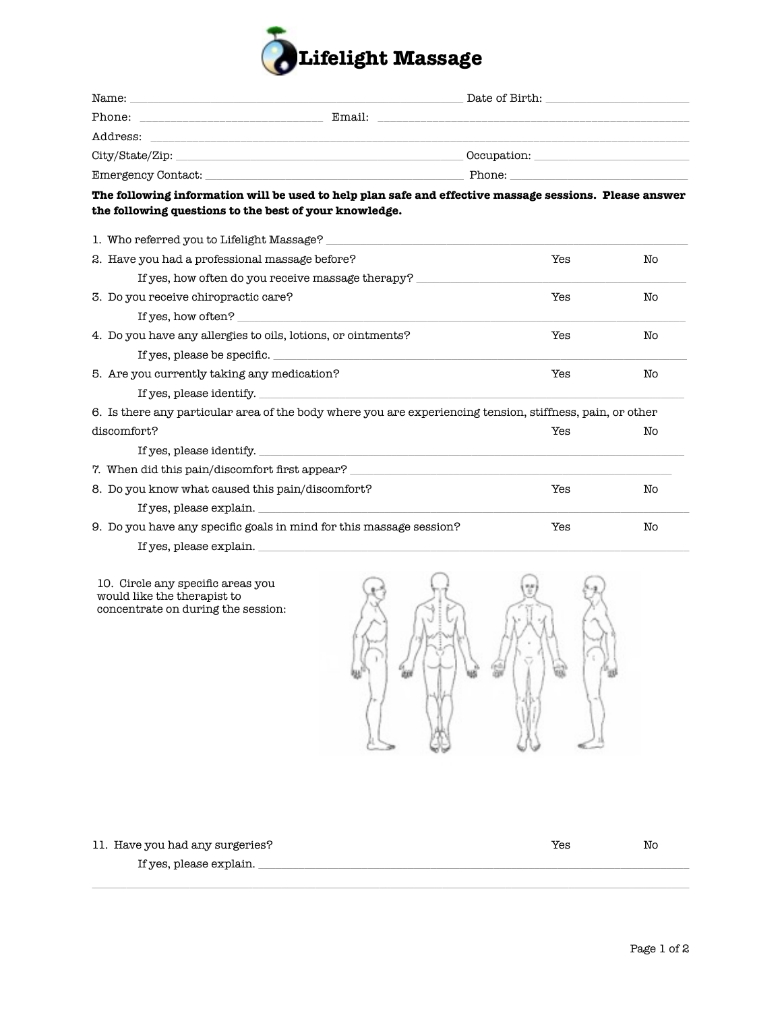

| City/State/Zip: example: the contract of the contract of the contract of the contract of the contract of the contract of the contract of the contract of the contract of the contract of the contract of the contract of the c |                                                   |                                                                                                                                                                                                                                |    |
|--------------------------------------------------------------------------------------------------------------------------------------------------------------------------------------------------------------------------------|---------------------------------------------------|--------------------------------------------------------------------------------------------------------------------------------------------------------------------------------------------------------------------------------|----|
|                                                                                                                                                                                                                                |                                                   | Emergency Contact: The Contract Contract Contract Contract Contract Contract Contract Contract Contract Contract Contract Contract Contract Contract Contract Contract Contract Contract Contract Contract Contract Contract C |    |
| The following information will be used to help plan safe and effective massage sessions. Please answer<br>the following questions to the best of your knowledge.                                                               |                                                   |                                                                                                                                                                                                                                |    |
| 1. Who referred you to Lifelight Massage?                                                                                                                                                                                      |                                                   |                                                                                                                                                                                                                                |    |
| 2. Have you had a professional massage before?                                                                                                                                                                                 |                                                   | Yes                                                                                                                                                                                                                            | No |
|                                                                                                                                                                                                                                | If yes, how often do you receive massage therapy? |                                                                                                                                                                                                                                |    |
| 3. Do you receive chiropractic care?                                                                                                                                                                                           |                                                   | Yes                                                                                                                                                                                                                            | No |
| If yes, how often?                                                                                                                                                                                                             |                                                   |                                                                                                                                                                                                                                |    |
| 4. Do you have any allergies to oils, lotions, or ointments?                                                                                                                                                                   |                                                   | Yes                                                                                                                                                                                                                            | No |
| If yes, please be specific.                                                                                                                                                                                                    |                                                   |                                                                                                                                                                                                                                |    |
| 5. Are you currently taking any medication?                                                                                                                                                                                    |                                                   | Yes                                                                                                                                                                                                                            | No |
| If yes, please identify.                                                                                                                                                                                                       |                                                   |                                                                                                                                                                                                                                |    |
| 6. Is there any particular area of the body where you are experiencing tension, stiffness, pain, or other                                                                                                                      |                                                   |                                                                                                                                                                                                                                |    |
| discomfort?                                                                                                                                                                                                                    |                                                   | Yes                                                                                                                                                                                                                            | No |
|                                                                                                                                                                                                                                | If yes, please identify.                          |                                                                                                                                                                                                                                |    |
| 7. When did this pain/discomfort first appear? __________________________________                                                                                                                                              |                                                   |                                                                                                                                                                                                                                |    |
| 8. Do you know what caused this pain/discomfort?                                                                                                                                                                               |                                                   | Yes                                                                                                                                                                                                                            | No |
| If yes, please explain.                                                                                                                                                                                                        |                                                   |                                                                                                                                                                                                                                |    |
| 9. Do you have any specific goals in mind for this massage session?                                                                                                                                                            |                                                   | Yes                                                                                                                                                                                                                            | No |
| If yes, please explain.                                                                                                                                                                                                        |                                                   |                                                                                                                                                                                                                                |    |

10. Circle any specific areas you would like the therapist to concentrate on during the session:



\_\_\_\_\_\_\_\_\_\_\_\_\_\_\_\_\_\_\_\_\_\_\_\_\_\_\_\_\_\_\_\_\_\_\_\_\_\_\_\_\_\_\_\_\_\_\_\_\_\_\_\_\_\_\_\_\_\_\_\_\_\_\_\_\_\_\_\_\_\_\_\_\_\_\_\_\_\_\_\_\_\_\_\_\_\_\_\_\_\_\_\_\_\_\_\_\_\_\_\_\_\_\_\_